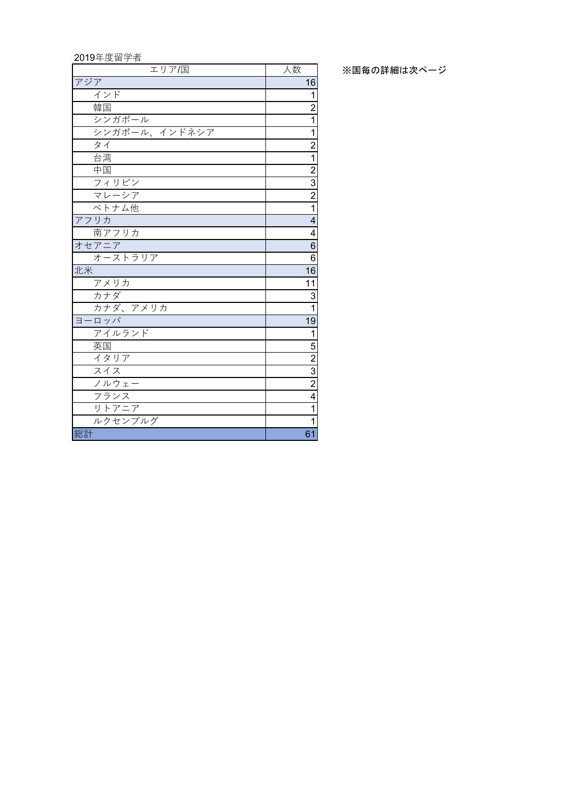2019年度留学者

| エリア/国         | 人数                      |
|---------------|-------------------------|
| アジア           | 16                      |
| インド           | 1                       |
| 韓国            | $\overline{c}$          |
| シンガポール        | $\overline{1}$          |
| シンガポール、インドネシア | $\mathbf{1}$            |
| タイ            | $\overline{2}$          |
| 台湾            | $\overline{1}$          |
| 中国            | $\overline{2}$          |
| フィリピン         | $\frac{3}{2}$           |
| マレーシア         |                         |
| ベトナム他         | $\overline{1}$          |
| アフリカ          | $\overline{\mathbf{4}}$ |
| 南アフリカ         | 4                       |
| オセアニア         | $6\phantom{a}$          |
| オーストラリア       | 6                       |
| 北米            | 16                      |
| アメリカ          | 11                      |
| カナダ           | 3                       |
| カナダ、アメリカ      | $\overline{1}$          |
| ヨーロッパ         | 19                      |
| アイルランド        | $\mathbf{1}$            |
| 英国            | 5                       |
| イタリア          | $\overline{2}$          |
| スイス           | $\frac{3}{2}$           |
| ノルウェー         |                         |
| フランス          | 4                       |
| リトアニア         | $\overline{1}$          |
| ルクセンブルグ       | $\overline{1}$          |
| 総計            | 61                      |

※国毎の詳細は次ページ